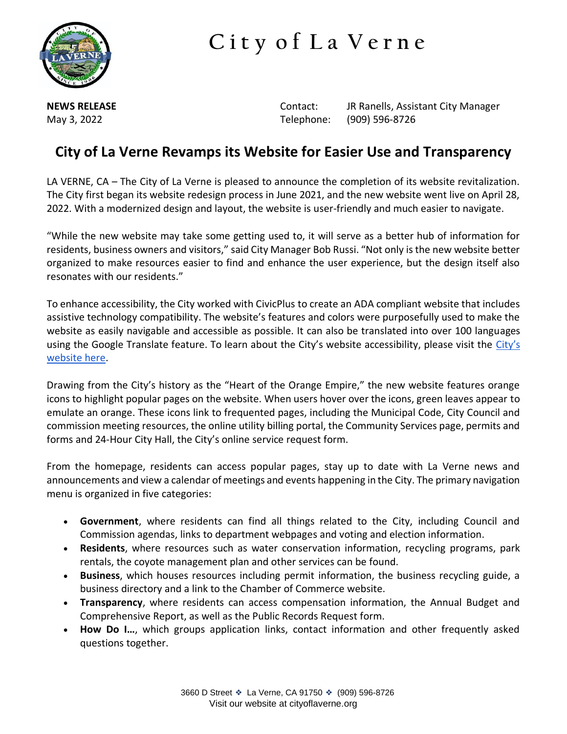

## **C i t y o f L a V e r n e**

**NEWS RELEASE Contact:** JR Ranells, Assistant City Manager May 3, 2022 Telephone: (909) 596-8726

## **City of La Verne Revamps its Website for Easier Use and Transparency**

LA VERNE, CA – The City of La Verne is pleased to announce the completion of its website revitalization. The City first began its website redesign process in June 2021, and the new website went live on April 28, 2022. With a modernized design and layout, the website is user-friendly and much easier to navigate.

"While the new website may take some getting used to, it will serve as a better hub of information for residents, business owners and visitors," said City Manager Bob Russi. "Not only is the new website better organized to make resources easier to find and enhance the user experience, but the design itself also resonates with our residents."

To enhance accessibility, the City worked with CivicPlus to create an ADA compliant website that includes assistive technology compatibility. The website's features and colors were purposefully used to make the website as easily navigable and accessible as possible. It can also be translated into over 100 languages using the Google Translate feature. To learn about the [City's](https://www.cityoflaverne.org/153/Accessibility) website accessibility, please visit the City's [website here.](https://www.cityoflaverne.org/153/Accessibility)

Drawing from the City's history as the "Heart of the Orange Empire," the new website features orange icons to highlight popular pages on the website. When users hover over the icons, green leaves appear to emulate an orange. These icons link to frequented pages, including the Municipal Code, City Council and commission meeting resources, the online utility billing portal, the Community Services page, permits and forms and 24-Hour City Hall, the City's online service request form.

From the homepage, residents can access popular pages, stay up to date with La Verne news and announcements and view a calendar of meetings and events happening in the City. The primary navigation menu is organized in five categories:

- **Government**, where residents can find all things related to the City, including Council and Commission agendas, links to department webpages and voting and election information.
- **Residents**, where resources such as water conservation information, recycling programs, park rentals, the coyote management plan and other services can be found.
- **Business**, which houses resources including permit information, the business recycling guide, a business directory and a link to the Chamber of Commerce website.
- **Transparency**, where residents can access compensation information, the Annual Budget and Comprehensive Report, as well as the Public Records Request form.
- **How Do I…**, which groups application links, contact information and other frequently asked questions together.